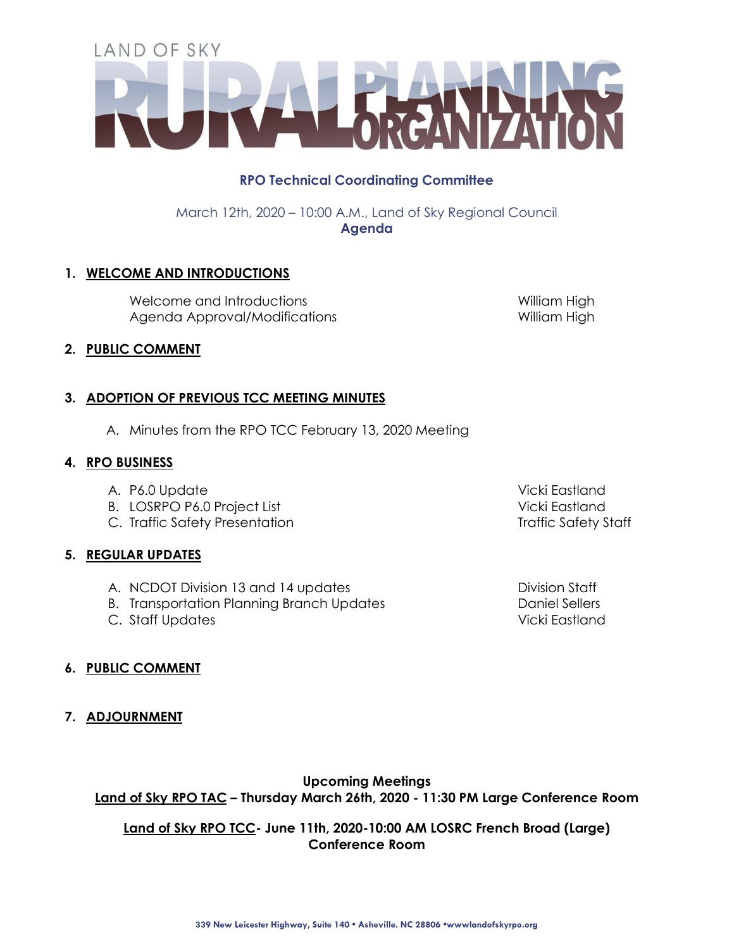# **RPO Technical Coordinating Committee**

March 12th, 2020 – 10:00 A.M., Land of Sky Regional Council **Agenda**

# **1. WELCOME AND INTRODUCTIONS**

Welcome and Introductions William High Agenda Approval/Modifications 
William High

#### **2. PUBLIC COMMENT**

# **3. ADOPTION OF PREVIOUS TCC MEETING MINUTES**

A. Minutes from the RPO TCC February 13, 2020 Meeting

#### **4. RPO BUSINESS**

- A. P6.0 Update Vicki Eastland
- B. LOSRPO P6.0 Project List Vicki Eastland
- C. Traffic Safety Presentation Traffic Safety Staff

# **5. REGULAR UPDATES**

- A. NCDOT Division 13 and 14 updates Division Staff
- B. Transportation Planning Branch Updates **Daniel Sellers** Daniel Sellers
- C. Staff Updates Vicki Eastland

# **6. PUBLIC COMMENT**

**7. ADJOURNMENT**

# **Upcoming Meetings**

**Land of Sky RPO TAC – Thursday March 26th, 2020 - 11:30 PM Large Conference Room** 

**Land of Sky RPO TCC- June 11th, 2020-10:00 AM LOSRC French Broad (Large) Conference Room**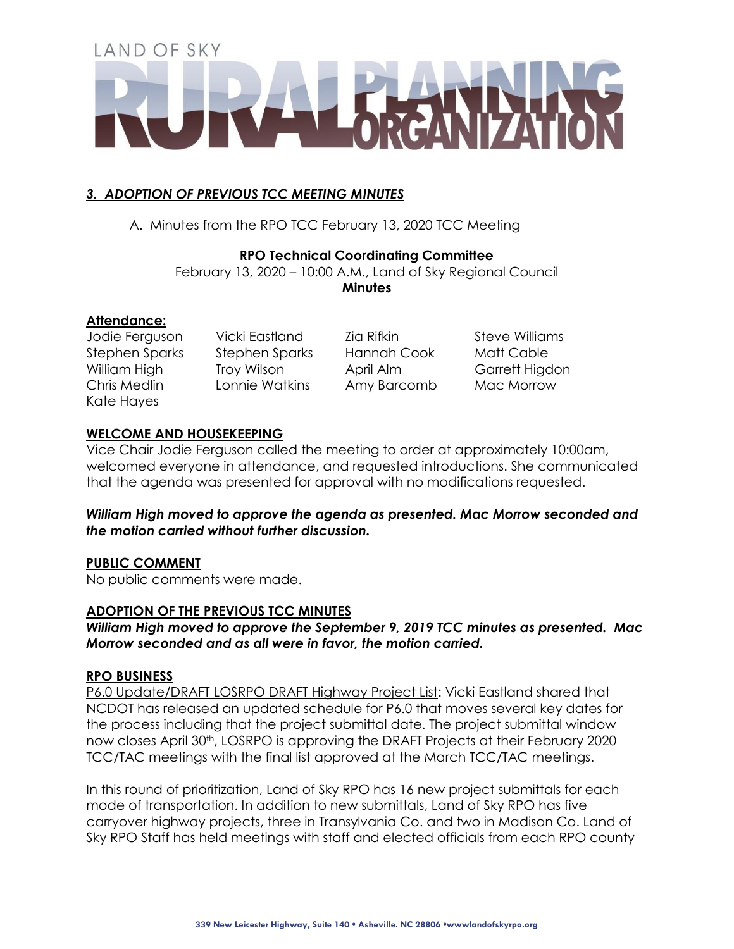# *3. ADOPTION OF PREVIOUS TCC MEETING MINUTES*

A. Minutes from the RPO TCC February 13, 2020 TCC Meeting

#### **RPO Technical Coordinating Committee**

February 13, 2020 – 10:00 A.M., Land of Sky Regional Council **Minutes**

#### **Attendance:**

Kate Hayes

Jodie Ferguson Vicki Eastland Zia Rifkin Steve Williams Stephen Sparks Stephen Sparks Hannah Cook Matt Cable William High Troy Wilson April Alm Garrett Higdon Chris Medlin Lonnie Watkins Amy Barcomb Mac Morrow

# **WELCOME AND HOUSEKEEPING**

Vice Chair Jodie Ferguson called the meeting to order at approximately 10:00am, welcomed everyone in attendance, and requested introductions. She communicated that the agenda was presented for approval with no modifications requested.

# *William High moved to approve the agenda as presented. Mac Morrow seconded and the motion carried without further discussion.*

# **PUBLIC COMMENT**

No public comments were made.

#### **ADOPTION OF THE PREVIOUS TCC MINUTES**

*William High moved to approve the September 9, 2019 TCC minutes as presented. Mac Morrow seconded and as all were in favor, the motion carried.*

#### **RPO BUSINESS**

P6.0 Update/DRAFT LOSRPO DRAFT Highway Project List: Vicki Eastland shared that NCDOT has released an updated schedule for P6.0 that moves several key dates for the process including that the project submittal date. The project submittal window now closes April 30<sup>th</sup>, LOSRPO is approving the DRAFT Projects at their February 2020 TCC/TAC meetings with the final list approved at the March TCC/TAC meetings.

In this round of prioritization, Land of Sky RPO has 16 new project submittals for each mode of transportation. In addition to new submittals, Land of Sky RPO has five carryover highway projects, three in Transylvania Co. and two in Madison Co. Land of Sky RPO Staff has held meetings with staff and elected officials from each RPO county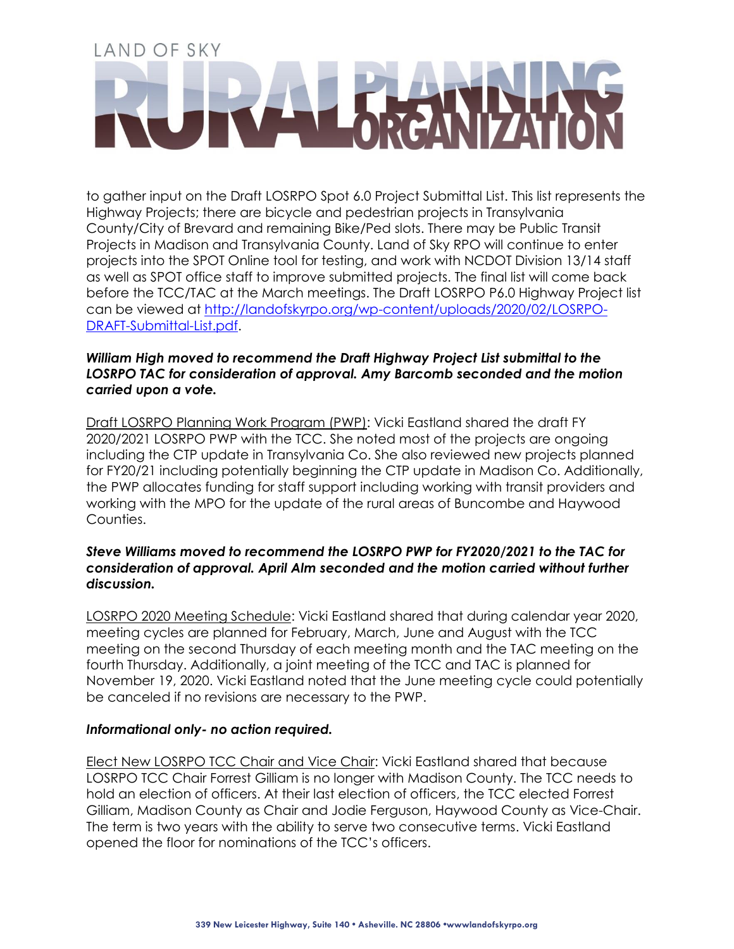to gather input on the Draft LOSRPO Spot 6.0 Project Submittal List. This list represents the Highway Projects; there are bicycle and pedestrian projects in Transylvania County/City of Brevard and remaining Bike/Ped slots. There may be Public Transit Projects in Madison and Transylvania County. Land of Sky RPO will continue to enter projects into the SPOT Online tool for testing, and work with NCDOT Division 13/14 staff as well as SPOT office staff to improve submitted projects. The final list will come back before the TCC/TAC at the March meetings. The Draft LOSRPO P6.0 Highway Project list can be viewed at [http://landofskyrpo.org/wp-content/uploads/2020/02/LOSRPO-](http://landofskyrpo.org/wp-content/uploads/2020/02/LOSRPO-DRAFT-Submittal-List.pdf)[DRAFT-Submittal-List.pdf.](http://landofskyrpo.org/wp-content/uploads/2020/02/LOSRPO-DRAFT-Submittal-List.pdf)

#### *William High moved to recommend the Draft Highway Project List submittal to the LOSRPO TAC for consideration of approval. Amy Barcomb seconded and the motion carried upon a vote.*

Draft LOSRPO Planning Work Program (PWP): Vicki Eastland shared the draft FY 2020/2021 LOSRPO PWP with the TCC. She noted most of the projects are ongoing including the CTP update in Transylvania Co. She also reviewed new projects planned for FY20/21 including potentially beginning the CTP update in Madison Co. Additionally, the PWP allocates funding for staff support including working with transit providers and working with the MPO for the update of the rural areas of Buncombe and Haywood Counties.

#### *Steve Williams moved to recommend the LOSRPO PWP for FY2020/2021 to the TAC for consideration of approval. April Alm seconded and the motion carried without further discussion.*

LOSRPO 2020 Meeting Schedule: Vicki Eastland shared that during calendar year 2020, meeting cycles are planned for February, March, June and August with the TCC meeting on the second Thursday of each meeting month and the TAC meeting on the fourth Thursday. Additionally, a joint meeting of the TCC and TAC is planned for November 19, 2020. Vicki Eastland noted that the June meeting cycle could potentially be canceled if no revisions are necessary to the PWP.

#### *Informational only- no action required.*

Elect New LOSRPO TCC Chair and Vice Chair: Vicki Eastland shared that because LOSRPO TCC Chair Forrest Gilliam is no longer with Madison County. The TCC needs to hold an election of officers. At their last election of officers, the TCC elected Forrest Gilliam, Madison County as Chair and Jodie Ferguson, Haywood County as Vice-Chair. The term is two years with the ability to serve two consecutive terms. Vicki Eastland opened the floor for nominations of the TCC's officers.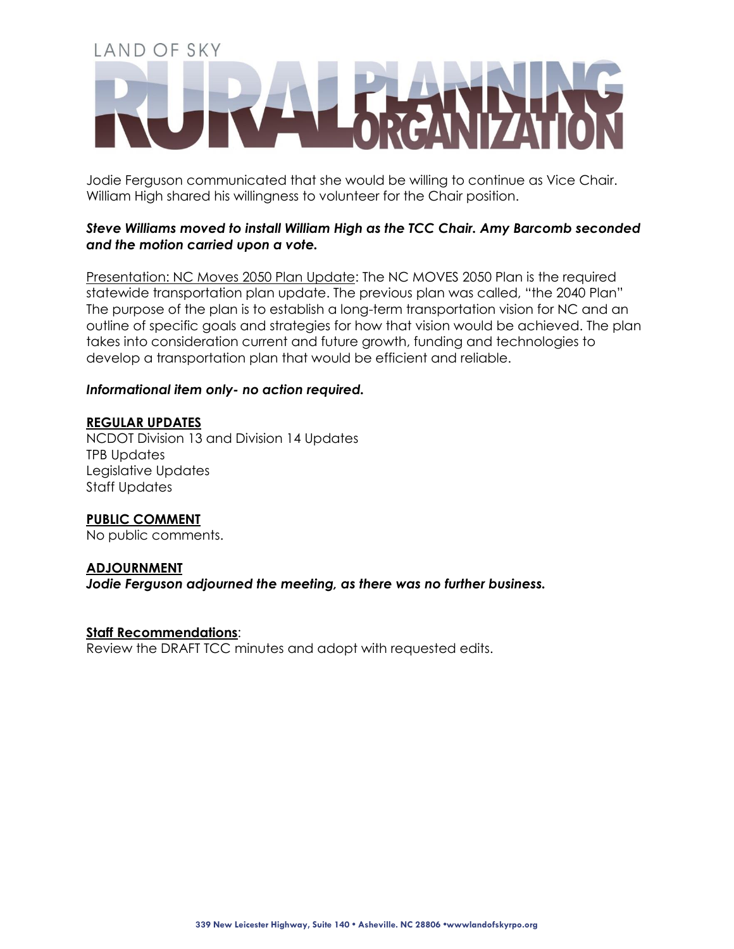Jodie Ferguson communicated that she would be willing to continue as Vice Chair. William High shared his willingness to volunteer for the Chair position.

#### *Steve Williams moved to install William High as the TCC Chair. Amy Barcomb seconded and the motion carried upon a vote.*

Presentation: NC Moves 2050 Plan Update: The NC MOVES 2050 Plan is the required statewide transportation plan update. The previous plan was called, "the 2040 Plan" The purpose of the plan is to establish a long-term transportation vision for NC and an outline of specific goals and strategies for how that vision would be achieved. The plan takes into consideration current and future growth, funding and technologies to develop a transportation plan that would be efficient and reliable.

#### *Informational item only- no action required.*

#### **REGULAR UPDATES**

NCDOT Division 13 and Division 14 Updates TPB Updates Legislative Updates Staff Updates

# **PUBLIC COMMENT**

No public comments.

#### **ADJOURNMENT**

*Jodie Ferguson adjourned the meeting, as there was no further business.*

#### **Staff Recommendations**:

Review the DRAFT TCC minutes and adopt with requested edits.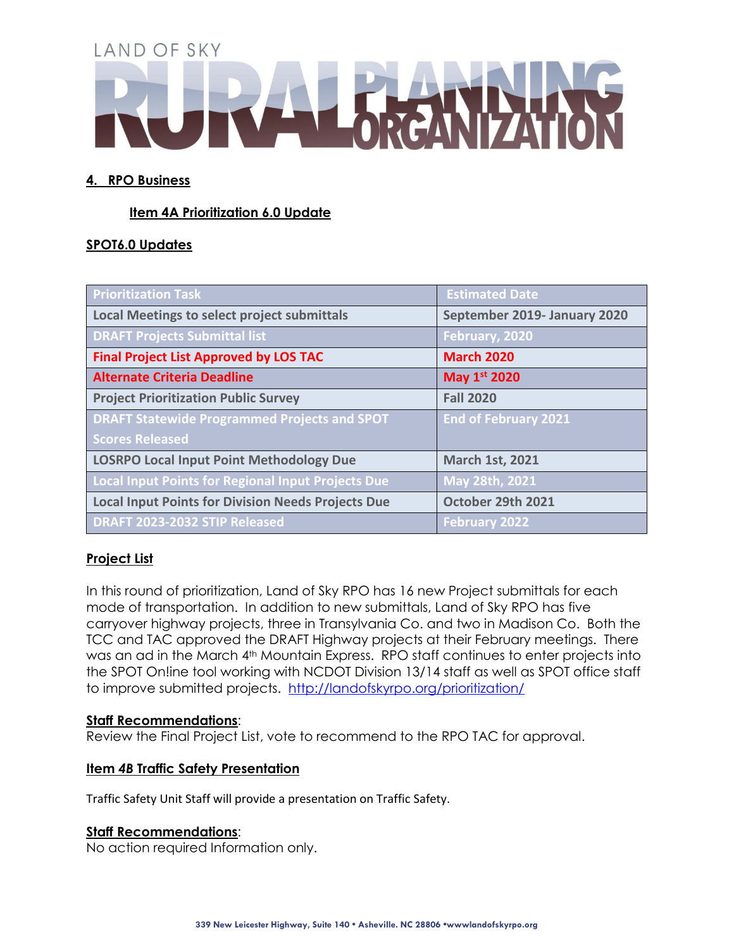# **4. RPO Business**

# **Item 4A Prioritization 6.0 Update**

# **SPOT6.0 Updates**

| <b>Prioritization Task</b>                                | <b>Estimated Date</b>        |
|-----------------------------------------------------------|------------------------------|
| <b>Local Meetings to select project submittals</b>        | September 2019- January 2020 |
| <b>DRAFT Projects Submittal list</b>                      | February, 2020               |
| <b>Final Project List Approved by LOS TAC</b>             | <b>March 2020</b>            |
| <b>Alternate Criteria Deadline</b>                        | May 1st 2020                 |
| <b>Project Prioritization Public Survey</b>               | <b>Fall 2020</b>             |
| <b>DRAFT Statewide Programmed Projects and SPOT</b>       | <b>End of February 2021</b>  |
| <b>Scores Released</b>                                    |                              |
| <b>LOSRPO Local Input Point Methodology Due</b>           | <b>March 1st, 2021</b>       |
| <b>Local Input Points for Regional Input Projects Due</b> | May 28th, 2021               |
| <b>Local Input Points for Division Needs Projects Due</b> | October 29th 2021            |
| DRAFT 2023-2032 STIP Released                             | <b>February 2022</b>         |

# **Project List**

In this round of prioritization, Land of Sky RPO has 16 new Project submittals for each mode of transportation. In addition to new submittals, Land of Sky RPO has five carryover highway projects, three in Transylvania Co. and two in Madison Co. Both the TCC and TAC approved the DRAFT Highway projects at their February meetings. There was an ad in the March 4<sup>th</sup> Mountain Express. RPO staff continues to enter projects into the SPOT On!ine tool working with NCDOT Division 13/14 staff as well as SPOT office staff to improve submitted projects. <http://landofskyrpo.org/prioritization/>

#### **Staff Recommendations**:

Review the Final Project List, vote to recommend to the RPO TAC for approval.

# **Item** *4B* **Traffic Safety Presentation**

Traffic Safety Unit Staff will provide a presentation on Traffic Safety.

#### **Staff Recommendations**:

No action required Information only.